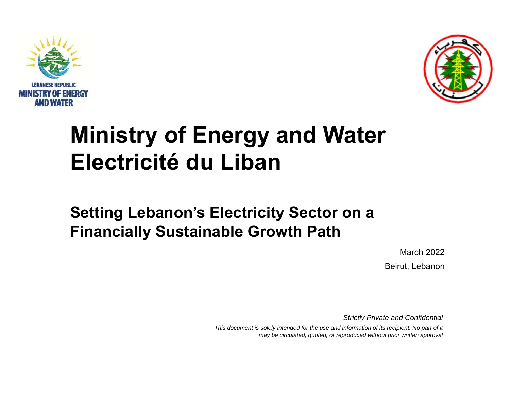



# **Ministry of Energy and Water Electricité du Liban**

## **Setting Lebanon's Electricity Sector on a Financially Sustainable Growth Path**

March 2022Beirut, Lebanon

*Strictly Private and Confidential*

This document is solely intended for the use and information of its recipient. No part of it *may be circulated, quoted, or reproduced without prior written approval*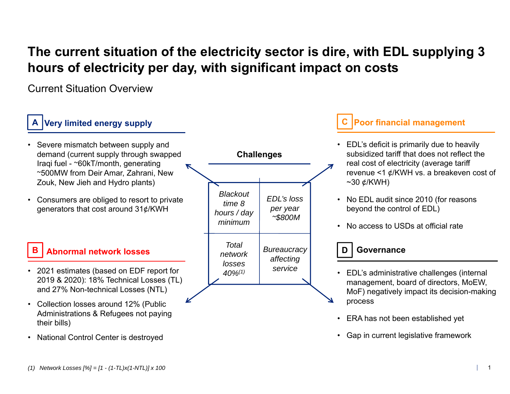## **The current situation of the electricity sector is dire, with EDL supplying 3 hours of electricity per day, with significant impact on costs**

Current Situation Overview

#### • Severe mismatch between supply and demand (current supply through swapped Iraqi fuel - <sup>~</sup>60kT/month, generating <sup>~</sup>500MW from Deir Amar, Zahrani, New Zouk, New Jieh and Hydro plants) • Consumers are obliged to resort to private generators that cost around 31¢/KWH **Very limited energy supply** • EDL's deficit is primarily due to heavily subsidized tariff that does not reflect the real cost of electricity (average tariff revenue <1  $\phi$ /KWH vs. a breakeven cost of  $~10~\text{e/KWH}$ • No EDL audit since 2010 (for reasons beyond the control of EDL) • No access to USDs at official rate **Poor financial management** • 2021 estimates (based on EDF report for 2019 & 2020): 18% Technical Losses (TL) and 27% Non-technical Losses (NTL) • Collection losses around 12% (Public Administrations & Refugees not paying their bills) **Abnormal network lossesABC***Blackout time 8 hours / day minimumTotal network losses 40%(1) EDL's loss per year <sup>~</sup>\$800M* **Challenges** • EDL's administrative challenges (internal management, board of directors, MoEW, MoF) negatively impact its decision-making process • ERA has not been established yet *Bureaucracy*  **D Governance** *affecting service*

• Gap in current legislative framework

National Control Center is destroyed

•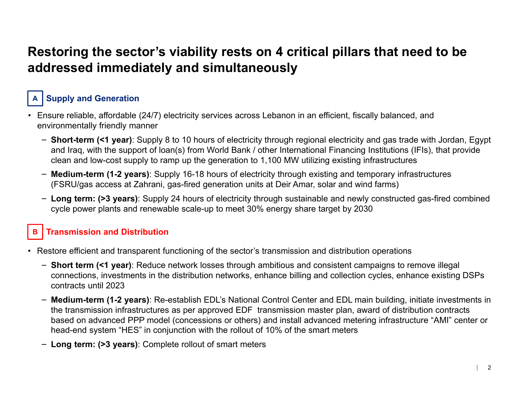## **Restoring the sector's viability rests on 4 critical pillars that need to be addressed immediately and simultaneously**

#### **Supply and Generation A**

- Ensure reliable, affordable (24/7) electricity services across Lebanon in an efficient, fiscally balanced, and environmentally friendly manner
	- ‒ **Short-term (<1 year)**: Supply 8 to 10 hours of electricity through regional electricity and gas trade with Jordan, Egypt and Iraq, with the support of loan(s) from World Bank / other International Financing Institutions (IFIs), that provide clean and low-cost supply to ramp up the generation to 1,100 MW utilizing existing infrastructures
	- ‒ **Medium-term (1-2 years)**: Supply 16-18 hours of electricity through existing and temporary infrastructures (FSRU/gas access at Zahrani, gas-fired generation units at Deir Amar, solar and wind farms)
	- ‒ **Long term: (>3 years)**: Supply 24 hours of electricity through sustainable and newly constructed gas-fired combined cycle power plants and renewable scale-up to meet 30% energy share target by 2030

#### **BTransmission and Distribution**

- Restore efficient and transparent functioning of the sector's transmission and distribution operations
	- ‒ **Short term (<1 year)**: Reduce network losses through ambitious and consistent campaigns to remove illegal connections, investments in the distribution networks, enhance billing and collection cycles, enhance existing DSPs contracts until 2023
	- ‒ **Medium-term (1-2 years)**: Re-establish EDL's National Control Center and EDL main building, initiate investments in the transmission infrastructures as per approved EDF transmission master plan, award of distribution contracts based on advanced PPP model (concessions or others) and install advanced metering infrastructure "AMI" center or head-end system "HES" in conjunction with the rollout of 10% of the smart meters
	- ‒ **Long term: (>3 years)**: Complete rollout of smart meters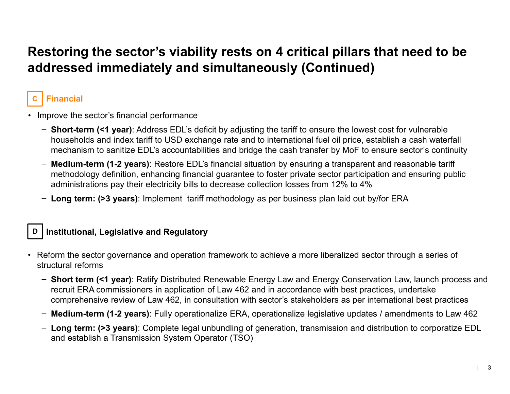## **Restoring the sector's viability rests on 4 critical pillars that need to be addressed immediately and simultaneously (Continued)**

#### **CFinancial**

- Improve the sector's financial performance
	- ‒ **Short-term (<1 year)**: Address EDL's deficit by adjusting the tariff to ensure the lowest cost for vulnerable households and index tariff to USD exchange rate and to international fuel oil price, establish a cash waterfall mechanism to sanitize EDL's accountabilities and bridge the cash transfer by MoF to ensure sector's continuity
	- ‒ **Medium-term (1-2 years)**: Restore EDL's financial situation by ensuring a transparent and reasonable tariff methodology definition, enhancing financial guarantee to foster private sector participation and ensuring public administrations pay their electricity bills to decrease collection losses from 12% to 4%
	- ‒ **Long term: (>3 years)**: Implement tariff methodology as per business plan laid out by/for ERA

### **D Institutional, Legislative and Regulatory**

- Reform the sector governance and operation framework to achieve a more liberalized sector through a series of structural reforms
	- ‒ **Short term (<1 year)**: Ratify Distributed Renewable Energy Law and Energy Conservation Law, launch process and recruit ERA commissioners in application of Law 462 and in accordance with best practices, undertake comprehensive review of Law 462, in consultation with sector's stakeholders as per international best practices
	- ‒ **Medium-term (1-2 years)**: Fully operationalize ERA, operationalize legislative updates / amendments to Law 462
	- ‒ **Long term: (>3 years)**: Complete legal unbundling of generation, transmission and distribution to corporatize EDL and establish a Transmission System Operator (TSO)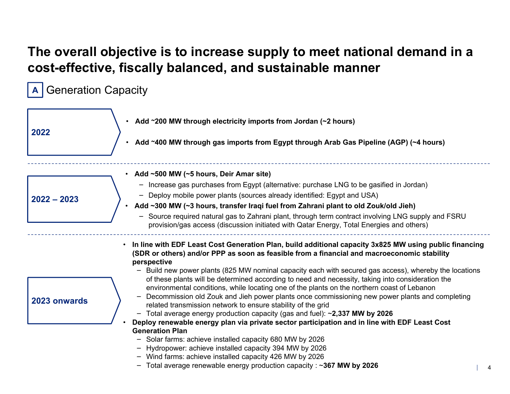## **The overall objective is to increase supply to meet national demand in a cost-effective, fiscally balanced, and sustainable manner**

A Generation Capacity

| 2022          | • Add ~200 MW through electricity imports from Jordan (~2 hours)<br>Add ~400 MW through gas imports from Egypt through Arab Gas Pipeline (AGP) (~4 hours)                                                                                                                                                                                                                                                                                                                                                                                                                                                                                                                                                                                                                                                                                                                                                                                                                                                                                                                                                                                                                                                     |
|---------------|---------------------------------------------------------------------------------------------------------------------------------------------------------------------------------------------------------------------------------------------------------------------------------------------------------------------------------------------------------------------------------------------------------------------------------------------------------------------------------------------------------------------------------------------------------------------------------------------------------------------------------------------------------------------------------------------------------------------------------------------------------------------------------------------------------------------------------------------------------------------------------------------------------------------------------------------------------------------------------------------------------------------------------------------------------------------------------------------------------------------------------------------------------------------------------------------------------------|
| $2022 - 2023$ | • Add ~500 MW (~5 hours, Deir Amar site)<br>- Increase gas purchases from Egypt (alternative: purchase LNG to be gasified in Jordan)<br>- Deploy mobile power plants (sources already identified: Egypt and USA)<br>Add ~300 MW (~3 hours, transfer Iraqi fuel from Zahrani plant to old Zouk/old Jieh)<br>- Source required natural gas to Zahrani plant, through term contract involving LNG supply and FSRU<br>provision/gas access (discussion initiated with Qatar Energy, Total Energies and others)                                                                                                                                                                                                                                                                                                                                                                                                                                                                                                                                                                                                                                                                                                    |
| 2023 onwards  | In line with EDF Least Cost Generation Plan, build additional capacity 3x825 MW using public financing<br>(SDR or others) and/or PPP as soon as feasible from a financial and macroeconomic stability<br>perspective<br>- Build new power plants (825 MW nominal capacity each with secured gas access), whereby the locations<br>of these plants will be determined according to need and necessity, taking into consideration the<br>environmental conditions, while locating one of the plants on the northern coast of Lebanon<br>Decommission old Zouk and Jieh power plants once commissioning new power plants and completing<br>$\overline{\phantom{0}}$<br>related transmission network to ensure stability of the grid<br>- Total average energy production capacity (gas and fuel): ~2,337 MW by 2026<br>Deploy renewable energy plan via private sector participation and in line with EDF Least Cost<br><b>Generation Plan</b><br>- Solar farms: achieve installed capacity 680 MW by 2026<br>- Hydropower: achieve installed capacity 394 MW by 2026<br>- Wind farms: achieve installed capacity 426 MW by 2026<br>- Total average renewable energy production capacity : $\sim$ 367 MW by 2026 |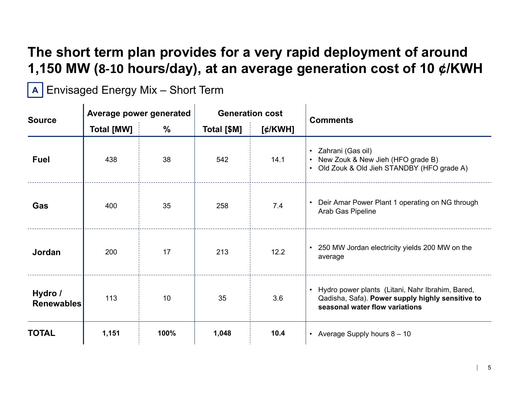## **The short term plan provides for a very rapid deployment of around 1,150 MW ( 8 ‐10 hours/day), at an average generation cost of 10 ¢/KWH**

**A** | Envisaged Energy Mix – Short Term

| <b>Source</b>                | Average power generated |               | <b>Generation cost</b> |         | <b>Comments</b>                                                                                                                        |
|------------------------------|-------------------------|---------------|------------------------|---------|----------------------------------------------------------------------------------------------------------------------------------------|
|                              | <b>Total [MW]</b>       | $\frac{0}{0}$ | Total [\$M]            | [¢/KWH] |                                                                                                                                        |
| <b>Fuel</b>                  | 438                     | 38            | 542                    | 14.1    | • Zahrani (Gas oil)<br>• New Zouk & New Jieh (HFO grade B)<br>• Old Zouk & Old Jieh STANDBY (HFO grade A)                              |
| Gas                          | 400                     | 35            | 258                    | 7.4     | Deir Amar Power Plant 1 operating on NG through<br>$\bullet$<br>Arab Gas Pipeline                                                      |
| Jordan                       | 200                     | 17            | 213                    | 12.2    | • 250 MW Jordan electricity yields 200 MW on the<br>average                                                                            |
| Hydro /<br><b>Renewables</b> | 113                     | 10            | 35                     | 3.6     | Hydro power plants (Litani, Nahr Ibrahim, Bared,<br>Qadisha, Safa). Power supply highly sensitive to<br>seasonal water flow variations |
| <b>TOTAL</b>                 | 1,151                   | 100%          | 1,048                  | 10.4    | • Average Supply hours $8 - 10$                                                                                                        |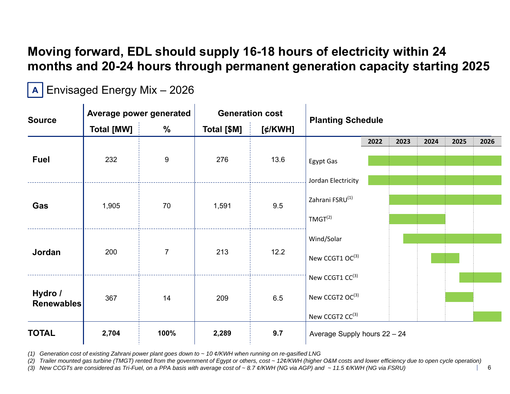## **Moving forward, EDL should supply 16-18 hours of electricity within 24 months and 20-24 hours through permanent generation capacity starting 2025**

**A** | Envisaged Energy Mix – 2026

| <b>Source</b>                | Average power generated |                | <b>Generation cost</b> |            | <b>Planting Schedule</b>     |      |      |      |      |      |
|------------------------------|-------------------------|----------------|------------------------|------------|------------------------------|------|------|------|------|------|
|                              | <b>Total [MW]</b>       | %              | Total [\$M]            | $[$ ¢/KWH] |                              |      |      |      |      |      |
|                              |                         |                |                        |            |                              | 2022 | 2023 | 2024 | 2025 | 2026 |
| <b>Fuel</b>                  | 232                     | 9              | 276                    | 13.6       | Egypt Gas                    |      |      |      |      |      |
|                              |                         |                |                        |            | Jordan Electricity           |      |      |      |      |      |
| Gas                          | 1,905                   | 70             | 1,591                  | 9.5        | Zahrani FSRU <sup>(1)</sup>  |      |      |      |      |      |
|                              |                         |                |                        |            | TMGT <sup>(2)</sup>          |      |      |      |      |      |
|                              |                         |                |                        |            | Wind/Solar                   |      |      |      |      |      |
| Jordan                       | 200                     | $\overline{7}$ | 213                    | 12.2       | New CCGT1 OC(3)              |      |      |      |      |      |
|                              |                         |                |                        |            | New CCGT1 CC(3)              |      |      |      |      |      |
| Hydro /<br><b>Renewables</b> | 367                     | 14             | 209                    | 6.5        | New CCGT2 OC(3)              |      |      |      |      |      |
|                              |                         |                |                        |            | New CCGT2 CC(3)              |      |      |      |      |      |
| <b>TOTAL</b>                 | 2,704                   | 100%           | 2,289                  | 9.7        | Average Supply hours 22 - 24 |      |      |      |      |      |

*(1) Generation cost of existing Zahrani power plant goes down to ~ 10 ¢/KWH when running on re-gasified LNG*

*(2) Trailer mounted gas turbine (TMGT) rented from the government of Egypt or others, cost ~ 12¢/KWH (higher O&M costs and lower efficiency due to open cycle operation)*

*(3) New CCGTs are considered as Tri-Fuel, on a PPA basis with average cost of ~ 8.7 ¢/KWH (NG via AGP) and ~ 11.5 ¢/KWH (NG via FSRU)*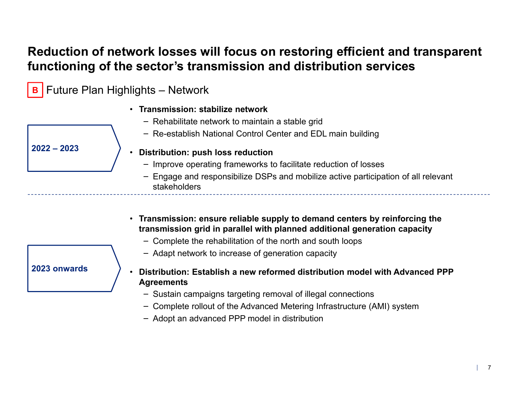### **Reduction of network losses will focus on restoring efficient and transparent functioning of the sector's transmission and distribution services**

- **<sup>B</sup> |** Future Plan Highlights Network
	- **Transmission: stabilize network**
		- ‒ Rehabilitate network to maintain a stable grid
		- ‒ Re-establish National Control Center and EDL main building

**2022 – 2023**

- **Distribution: push loss reduction**
	- ‒ Improve operating frameworks to facilitate reduction of losses
	- ‒ Engage and responsibilize DSPs and mobilize active participation of all relevant stakeholders
- **Transmission: ensure reliable supply to demand centers by reinforcing the transmission grid in parallel with planned additional generation capacity**
	- ‒ Complete the rehabilitation of the north and south loops
	- ‒ Adapt network to increase of generation capacity
- • **Distribution: Establish a new reformed distribution model with Advanced PPP Agreements**
	- ‒ Sustain campaigns targeting removal of illegal connections
	- ‒ Complete rollout of the Advanced Metering Infrastructure (AMI) system
	- ‒ Adopt an advanced PPP model in distribution

**2023 onwards**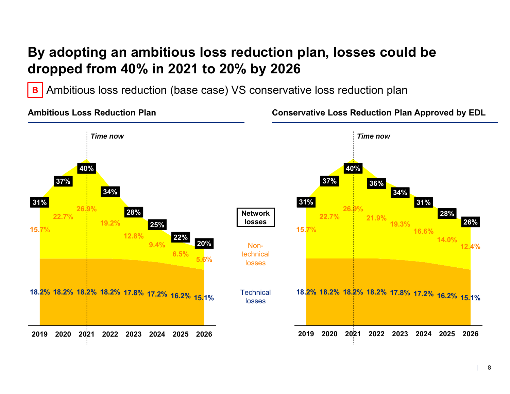## **By adopting an ambitious loss reduction plan, losses could be dropped from 40% in 2021 to 20% by 2026**

Ambitious loss reduction (base case) VS conservative loss reduction plan **B**

**Ambitious Loss Reduction Plan**

**Conservative Loss Reduction Plan Approved by EDL**

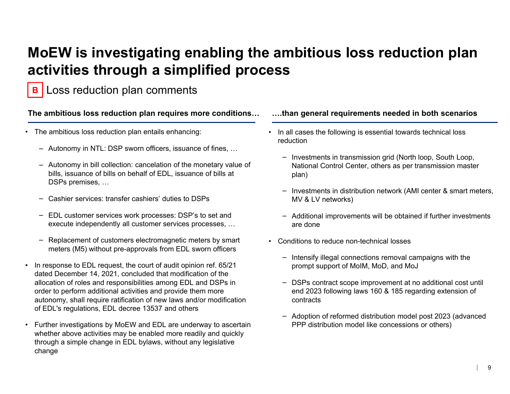## **MoEW is investigating enabling the ambitious loss reduction plan activities through a simplified process**

Loss reduction plan comments **B**

**The ambitious loss reduction plan requires more conditions… ….than general requirements needed in both scenarios**

- • The ambitious loss reduction plan entails enhancing:
	- ‒ Autonomy in NTL: DSP sworn officers, issuance of fines, …
	- ‒ Autonomy in bill collection: cancelation of the monetary value of bills, issuance of bills on behalf of EDL, issuance of bills at DSPs premises, …
	- Cashier services: transfer cashiers' duties to DSPs
	- ‒ EDL customer services work processes: DSP's to set and execute independently all customer services processes, …
	- ‒ Replacement of customers electromagnetic meters by smart meters (M5) without pre-approvals from EDL sworn officers
- • In response to EDL request, the court of audit opinion ref. 65/21 dated December 14, 2021, concluded that modification of the allocation of roles and responsibilities among EDL and DSPs in order to perform additional activities and provide them more autonomy, shall require ratification of new laws and/or modification of EDL's regulations, EDL decree 13537 and others
- • Further investigations by MoEW and EDL are underway to ascertain whether above activities may be enabled more readily and quickly through a simple change in EDL bylaws, without any legislative change

- In all cases the following is essential towards technical loss reduction
	- $\overline{\phantom{a}}$  Investments in transmission grid (North loop, South Loop, National Control Center, others as per transmission master plan)
	- ‒ Investments in distribution network (AMI center & smart meters, MV & LV networks)
	- ‒ Additional improvements will be obtained if further investments are done
- • Conditions to reduce non-technical losses
	- ‒ Intensify illegal connections removal campaigns with the prompt support of MoIM, MoD, and MoJ
	- ‒ DSPs contract scope improvement at no additional cost until end 2023 following laws 160 & 185 regarding extension of contracts
	- ‒ Adoption of reformed distribution model post 2023 (advanced PPP distribution model like concessions or others)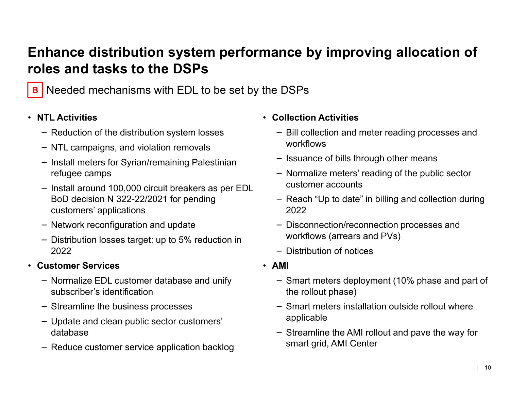## **Enhance distribution system performance by improving allocation of roles and tasks to the DSPs**



**B** Needed mechanisms with EDL to be set by the DSPs

### • **NTL Activities**

- ‒ Reduction of the distribution system losses
- ‒ NTL campaigns, and violation removals
- ‒ Install meters for Syrian/remaining Palestinian refugee camps
- ‒ Install around 100,000 circuit breakers as per EDL BoD decision N 322-22/2021 for pending customers' applications
- ‒ Network reconfiguration and update
- ‒ Distribution losses target: up to 5% reduction in 2022
- **Customer Services**
	- ‒ Normalize EDL customer database and unify subscriber's identification
	- ‒ Streamline the business processes
	- ‒ Update and clean public sector customers' database
	- ‒ Reduce customer service application backlog
- **Collection Activities**
	- ‒ Bill collection and meter reading processes and workflows
	- ‒ Issuance of bills through other means
	- ‒ Normalize meters' reading of the public sector customer accounts
	- ‒ Reach "Up to date" in billing and collection during 2022
	- ‒ Disconnection/reconnection processes and workflows (arrears and PVs)
	- ‒ Distribution of notices
- **AMI** 
	- ‒ Smart meters deployment (10% phase and part of the rollout phase)
	- ‒ Smart meters installation outside rollout where applicable
	- ‒ Streamline the AMI rollout and pave the way for smart grid, AMI Center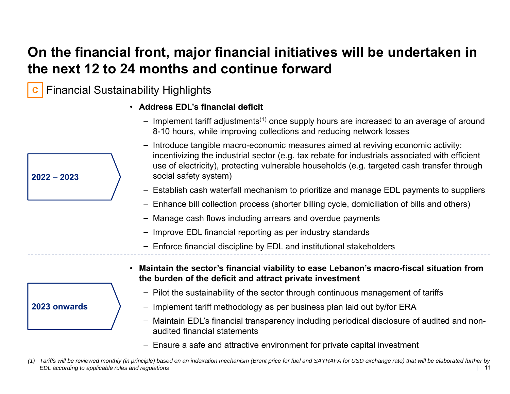## **On the financial front, major financial initiatives will be undertaken in the next 12 to 24 months and continue forward**

Financial Sustainability Highlights **C**

**2022 – 2023**

**2023 onwards**

- **Address EDL's financial deficit**
	- ‒ Implement tariff adjustments(1) once supply hours are increased to an average of around 8-10 hours, while improving collections and reducing network losses
	- ‒ Introduce tangible macro-economic measures aimed at reviving economic activity: incentivizing the industrial sector (e.g. tax rebate for industrials associated with efficient use of electricity), protecting vulnerable households (e.g. targeted cash transfer through social safety system)
	- ‒ Establish cash waterfall mechanism to prioritize and manage EDL payments to suppliers
	- ‒ Enhance bill collection process (shorter billing cycle, domiciliation of bills and others)
	- ‒ Manage cash flows including arrears and overdue payments
	- ‒ Improve EDL financial reporting as per industry standards
	- ‒ Enforce financial discipline by EDL and institutional stakeholders
- **Maintain the sector's financial viability to ease Lebanon's macro-fiscal situation from the burden of the deficit and attract private investment**
	- ‒ Pilot the sustainability of the sector through continuous management of tariffs
	- ‒ Implement tariff methodology as per business plan laid out by/for ERA
	- ‒ Maintain EDL's financial transparency including periodical disclosure of audited and nonaudited financial statements
	- ‒ Ensure a safe and attractive environment for private capital investment
- 11*(1) Tariffs will be reviewed monthly (in principle) based on an indexation mechanism (Brent price for fuel and SAYRAFA for USD exchange rate) that will be elaborated further by EDL according to applicable rules and regulations*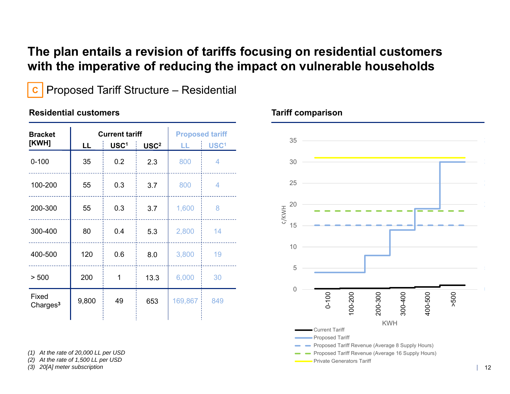### **The plan entails a revision of tariffs focusing on residential customers with the imperative of reducing the impact on vulnerable households**

**C**

Proposed Tariff Structure – Residential

### **Residential customers**

|       | <b>Current tariff</b> |                  |                  | <b>Proposed tariff</b> |
|-------|-----------------------|------------------|------------------|------------------------|
|       |                       |                  |                  | USC <sup>1</sup>       |
| 35    | 0.2                   | 2.3              | 800              | 4                      |
| 55    | 0.3                   | 3.7              | 800              | 4                      |
| 55    | 0.3                   | 3.7              | 1,600            | 8                      |
| 80    | 0.4                   | 5.3              | 2,800            | 14                     |
| 120   | 0.6                   | 8.0              | 3,800            | 19                     |
| 200   | 1                     | 13.3             | 6,000            | 30                     |
| 9,800 | 49                    | 653              | 169,867          | 849                    |
|       | LL                    | USC <sup>1</sup> | USC <sup>2</sup> | LL.                    |

*(1) At the rate of 20,000 LL per USD*

*(2) At the rate of 1,500 LL per USD (3) 20[A] meter subscription*



### **Tariff comparison**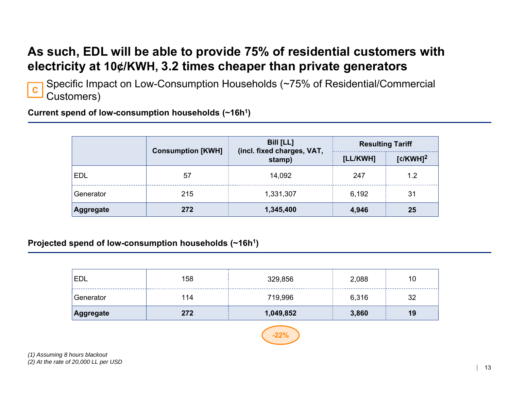### **As such, EDL will be able to provide 75% of residential customers with electricity at 10¢/KWH, 3.2 times cheaper than private generators**

**C**

Specific Impact on Low-Consumption Households (~75% of Residential/Commercial Customers)

**Current spend of low-consumption households (~16h1)**

|            | <b>Consumption [KWH]</b> | <b>Bill [LL]</b><br>(incl. fixed charges, VAT, | <b>Resulting Tariff</b> |                        |  |
|------------|--------------------------|------------------------------------------------|-------------------------|------------------------|--|
|            |                          | stamp)                                         | [LL/KWH]                | $[c/KWH]$ <sup>2</sup> |  |
| <b>EDL</b> | 57                       | 14,092                                         | 247                     | 1.2                    |  |
| Generator  | 215                      | 1,331,307                                      | 6,192                   | 31                     |  |
| Aggregate  | 272                      | 1,345,400                                      | 4,946                   | 25                     |  |

**Projected spend of low-consumption households (~16h1)**

| Aggregate  | 272 | 1,049,852 | 3,860 | 19 |
|------------|-----|-----------|-------|----|
| Generator  | 114 | 719,996   | 6,316 | 32 |
| <b>EDL</b> | 158 | 329,856   | 2,088 | 10 |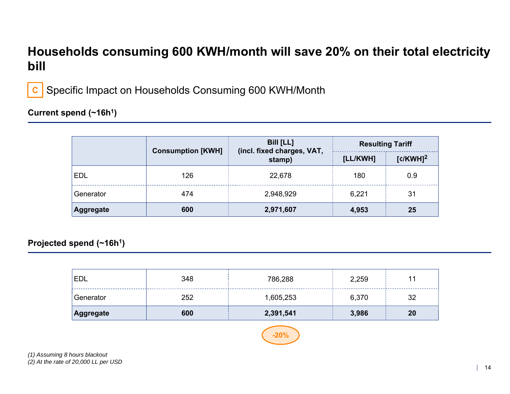### **Households consuming 600 KWH/month will save 20% on their total electricity bill**



Specific Impact on Households Consuming 600 KWH/Month

### **Current spend (~16h1)**

|            | <b>Consumption [KWH]</b> | <b>Bill [LL]</b><br>(incl. fixed charges, VAT, | <b>Resulting Tariff</b> |                        |  |
|------------|--------------------------|------------------------------------------------|-------------------------|------------------------|--|
|            |                          | stamp)                                         | [LL/KWH]                | $[c/KWH]$ <sup>2</sup> |  |
| <b>EDL</b> | 126                      | 22,678                                         | 180                     | 0.9                    |  |
| Generator  | 474                      | 2,948,929                                      | 6,221                   | 31                     |  |
| Aggregate  | 600                      | 2,971,607                                      | 4,953                   | 25                     |  |

### **Projected spend (~16h1)**

| 'EDL      | 348 | 786,288   | 2,259 | 32 |
|-----------|-----|-----------|-------|----|
| Generator | 252 | 1,605,253 | 6,370 |    |
| Aggregate | 600 | 2,391,541 | 3,986 | 20 |

## **-20%**

*(1) Assuming 8 hours blackout (2) At the rate of 20,000 LL per USD*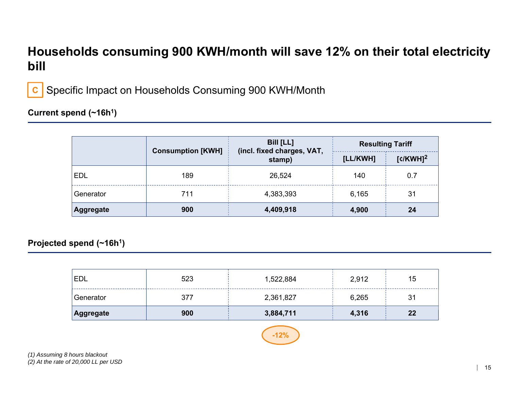### **Households consuming 900 KWH/month will save 12% on their total electricity bill**



Specific Impact on Households Consuming 900 KWH/Month

### **Current spend (~16h1)**

|            | <b>Consumption [KWH]</b> | <b>Bill [LL]</b><br>(incl. fixed charges, VAT, | <b>Resulting Tariff</b> |                        |  |
|------------|--------------------------|------------------------------------------------|-------------------------|------------------------|--|
|            |                          | stamp)                                         | [LL/KWH]                | $[c/KWH]$ <sup>2</sup> |  |
| <b>EDL</b> | 189                      | 26,524                                         | 140                     | 0.7                    |  |
| Generator  | 711                      | 4,383,393                                      | 6.165                   | 31                     |  |
| Aggregate  | 900                      | 4,409,918                                      | 4,900                   | 24                     |  |

**Projected spend (~16h1)**

| Aggregate | 900 | 3,884,711 | 4,316 | 22             |
|-----------|-----|-----------|-------|----------------|
| Generator | 377 | 2,361,827 | 6,265 | 3 <sup>′</sup> |
| 'EDL      | 523 | 1,522,884 | 2,912 | 15             |

## **-12%**

*(1) Assuming 8 hours blackout (2) At the rate of 20,000 LL per USD*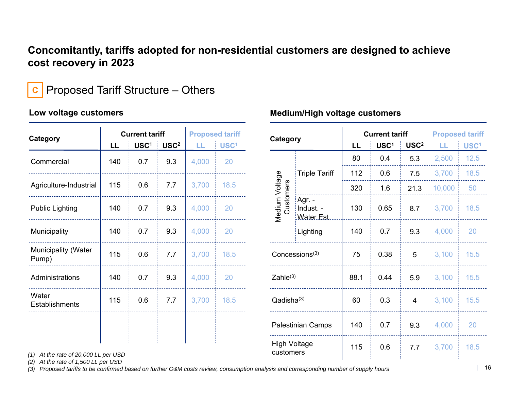### **Concomitantly, tariffs adopted for non-residential customers are designed to achieve cost recovery in 2023**

#### Proposed Tariff Structure – Others **C**

### **Low voltage customers**

| Category                       |     | <b>Current tariff</b> |                  | <b>Proposed tariff</b> |                  |
|--------------------------------|-----|-----------------------|------------------|------------------------|------------------|
|                                | LL  | USC <sup>1</sup>      | USC <sup>2</sup> | LL.                    | USC <sup>1</sup> |
| Commercial                     | 140 | 0.7                   | 9.3              | 4,000                  | 20               |
| Agriculture-Industrial         | 115 | 0.6                   | 7.7              | 3,700                  | 18.5             |
| <b>Public Lighting</b>         | 140 | 0.7                   | 9.3              | 4,000                  | 20               |
| Municipality                   | 140 | 0.7                   | 9.3              | 4,000                  | 20               |
| Municipality (Water<br>Pump)   | 115 | 0.6                   | 7.7              | 3,700                  | 18.5             |
| Administrations                | 140 | 0.7                   | 9.3              | 4,000                  | 20               |
| Water<br><b>Establishments</b> | 115 | 0.6                   | 7.7              | 3,700                  | 18.5             |
|                                |     |                       |                  |                        |                  |

### **Medium/High voltage customers**

|    | posed tariff     | Category                    |                                                                     |      | <b>Current tariff</b> |                  | <b>Proposed tariff</b> |                  |  |
|----|------------------|-----------------------------|---------------------------------------------------------------------|------|-----------------------|------------------|------------------------|------------------|--|
|    | USC <sup>1</sup> |                             |                                                                     |      | USC <sup>1</sup>      | USC <sup>2</sup> | H.                     | USC <sup>1</sup> |  |
| 00 | 20               |                             |                                                                     | 80   | 0.4                   | 5.3              | 2,500                  | 12.5             |  |
|    |                  |                             | <b>Triple Tariff</b>                                                | 112  | 0.6                   | 7.5              | 3,700                  | 18.5             |  |
| 00 | 18.5             |                             |                                                                     | 320  | 1.6                   | 21.3             | 10,000                 | 50               |  |
| 00 | 20               | Medium Voltage<br>Customers | Agr. -<br>Indust. -<br>Water Est.                                   | 130  | 0.65                  | 8.7              | 3,700                  | 18.5             |  |
| 00 | 20               |                             | Lighting                                                            | 140  | 0.7                   | 9.3              | 4,000                  | 20               |  |
| 00 | 18.5             |                             | Concessions <sup>(3)</sup>                                          |      | 0.38                  | 5                | 3,100                  | 15.5             |  |
| 00 | 20               | $Zahle^{(3)}$               |                                                                     | 88.1 | 0.44                  | 5.9              | 3,100                  | 15.5             |  |
| 00 | 18.5             |                             | Qadisha(3)<br>Palestinian Camps<br><b>High Voltage</b><br>customers |      | 0.3                   | $\overline{4}$   | 3,100                  | 15.5             |  |
|    |                  |                             |                                                                     |      | 0.7                   | 9.3              | 4,000                  | 20               |  |
|    |                  |                             |                                                                     |      | 0.6                   | 7.7              | 3,700                  | 18.5             |  |

*(1) At the rate of 20,000 LL per USD*

*(2) At the rate of 1,500 LL per USD*

*(3) Proposed tariffs to be confirmed based on further O&M costs review, consumption analysis and corresponding number of supply hours*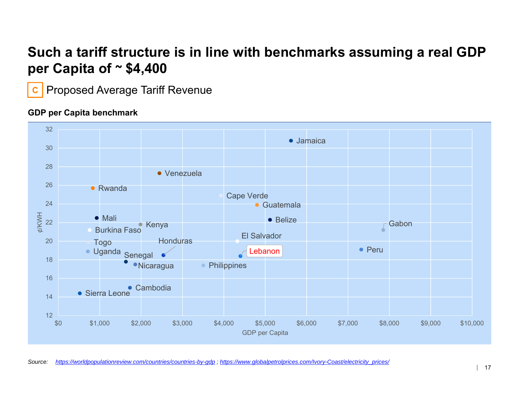## **Such a tariff structure is in line with benchmarks assuming a real GDP per Capita of ~ \$4,400**

**C**Proposed Average Tariff Revenue

### **GDP per Capita benchmark**

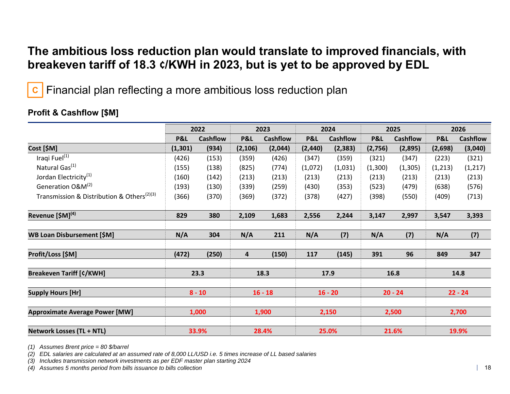### **The ambitious loss reduction plan would translate to improved financials, with breakeven tariff of 18.3 ¢/KWH in 2023, but is yet to be approved by EDL**

**C**Financial plan reflecting a more ambitious loss reduction plan

|                                                        | 2022     |                 | 2023      |                 | 2024      |                 | 2025      |                 | 2026      |                 |  |
|--------------------------------------------------------|----------|-----------------|-----------|-----------------|-----------|-----------------|-----------|-----------------|-----------|-----------------|--|
|                                                        | P&L      | <b>Cashflow</b> | P&L       | <b>Cashflow</b> | P&L       | <b>Cashflow</b> | P&L       | <b>Cashflow</b> | P&L       | <b>Cashflow</b> |  |
| Cost [\$M]                                             | (1, 301) | (934)           | (2, 106)  | (2,044)         | (2, 440)  | (2, 383)        | (2,756)   | (2,895)         | (2,698)   | (3,040)         |  |
| Iraqi Fuel <sup>(1)</sup>                              | (426)    | (153)           | (359)     | (426)           | (347)     | (359)           | (321)     | (347)           | (223)     | (321)           |  |
| Natural Gas <sup>(1)</sup>                             | (155)    | (138)           | (825)     | (774)           | (1,072)   | (1,031)         | (1,300)   | (1, 305)        | (1, 213)  | (1, 217)        |  |
| Jordan Electricity <sup>(1)</sup>                      | (160)    | (142)           | (213)     | (213)           | (213)     | (213)           | (213)     | (213)           | (213)     | (213)           |  |
| Generation O&M <sup>(2)</sup>                          | (193)    | (130)           | (339)     | (259)           | (430)     | (353)           | (523)     | (479)           | (638)     | (576)           |  |
| Transmission & Distribution & Others <sup>(2)(3)</sup> | (366)    | (370)           | (369)     | (372)           | (378)     | (427)           | (398)     | (550)           | (409)     | (713)           |  |
| Revenue [\$M] <sup>(4)</sup>                           | 829      | 380             | 2,109     | 1,683           | 2,556     | 2,244           | 3,147     | 2,997           | 3,547     | 3,393           |  |
| <b>WB Loan Disbursement [\$M]</b>                      | N/A      | 304             | N/A       | 211             | N/A       | (7)             | N/A       | (7)             | N/A       | (7)             |  |
| Profit/Loss [\$M]                                      | (472)    | (250)           | 4         | (150)           | 117       | (145)           | 391       | 96              | 849       | 347             |  |
| <b>Breakeven Tariff [¢/KWH]</b>                        | 23.3     |                 | 18.3      |                 | 17.9      |                 | 16.8      |                 | 14.8      |                 |  |
| <b>Supply Hours [Hr]</b>                               | $8 - 10$ |                 | $16 - 18$ |                 | $16 - 20$ |                 | $20 - 24$ |                 | $22 - 24$ |                 |  |
|                                                        |          |                 |           |                 |           |                 |           |                 |           |                 |  |
| <b>Approximate Average Power [MW]</b>                  | 1,000    |                 | 1,900     |                 | 2,150     |                 | 2,500     |                 | 2,700     |                 |  |
| <b>Network Losses (TL + NTL)</b>                       |          | 33.9%           |           | 28.4%           |           | 25.0%           |           | 21.6%           |           | 19.9%           |  |

### **Profit & Cashflow [\$M]**

*(1) Assumes Brent price = 80 \$/barrel*

*(2) EDL salaries are calculated at an assumed rate of 8,000 LL/USD i.e. 5 times increase of LL based salaries*

*(3) Includes transmission network investments as per EDF master plan starting 2024*

*(4) Assumes 5 months period from bills issuance to bills collection*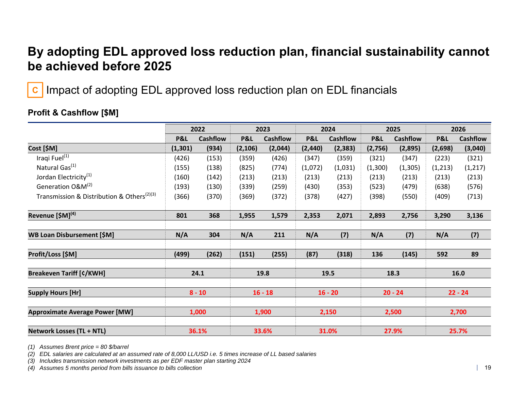### **By adopting EDL approved loss reduction plan, financial sustainability cannot be achieved before 2025**

Impact of adopting EDL approved loss reduction plan on EDL financials **C**

|                                                        | 2022     |                 | 2023      |                 | 2024      |                 | 2025      |                 | 2026      |                 |
|--------------------------------------------------------|----------|-----------------|-----------|-----------------|-----------|-----------------|-----------|-----------------|-----------|-----------------|
|                                                        | P&L      | <b>Cashflow</b> | P&L       | <b>Cashflow</b> | P&L       | <b>Cashflow</b> | P&L       | <b>Cashflow</b> | P&L       | <b>Cashflow</b> |
| Cost [\$M]                                             | (1, 301) | (934)           | (2, 106)  | (2,044)         | (2, 440)  | (2, 383)        | (2,756)   | (2,895)         | (2,698)   | (3,040)         |
| Iraqi Fuel <sup>(1)</sup>                              | (426)    | (153)           | (359)     | (426)           | (347)     | (359)           | (321)     | (347)           | (223)     | (321)           |
| Natural Gas <sup>(1)</sup>                             | (155)    | (138)           | (825)     | (774)           | (1,072)   | (1,031)         | (1,300)   | (1, 305)        | (1, 213)  | (1, 217)        |
| Jordan Electricity <sup>(1)</sup>                      | (160)    | (142)           | (213)     | (213)           | (213)     | (213)           | (213)     | (213)           | (213)     | (213)           |
| Generation O&M <sup>(2)</sup>                          | (193)    | (130)           | (339)     | (259)           | (430)     | (353)           | (523)     | (479)           | (638)     | (576)           |
| Transmission & Distribution & Others <sup>(2)(3)</sup> | (366)    | (370)           | (369)     | (372)           | (378)     | (427)           | (398)     | (550)           | (409)     | (713)           |
| Revenue [\$M] <sup>(4)</sup>                           | 801      | 368             | 1,955     | 1,579           | 2,353     | 2,071           | 2,893     | 2,756           | 3,290     | 3,136           |
| <b>WB Loan Disbursement [\$M]</b>                      | N/A      | 304             | N/A       | 211             | N/A       | (7)             | N/A       | (7)             | N/A       | (7)             |
| Profit/Loss [\$M]                                      | (499)    | (262)           | (151)     | (255)           | (87)      | (318)           | 136       | (145)           | 592       | 89              |
| <b>Breakeven Tariff [¢/KWH]</b>                        |          | 24.1            | 19.8      |                 | 19.5      |                 | 18.3      |                 | 16.0      |                 |
| <b>Supply Hours [Hr]</b>                               | $8 - 10$ |                 | $16 - 18$ |                 | $16 - 20$ |                 | $20 - 24$ |                 | $22 - 24$ |                 |
| <b>Approximate Average Power [MW]</b>                  | 1,000    |                 | 1,900     |                 | 2,150     |                 | 2,500     |                 | 2,700     |                 |
| <b>Network Losses (TL + NTL)</b>                       | 36.1%    |                 | 33.6%     |                 | 31.0%     |                 | 27.9%     |                 | 25.7%     |                 |

### **Profit & Cashflow [\$M]**

*(1) Assumes Brent price = 80 \$/barrel*

*(2) EDL salaries are calculated at an assumed rate of 8,000 LL/USD i.e. 5 times increase of LL based salaries*

*(3) Includes transmission network investments as per EDF master plan starting 2024*

*(4) Assumes 5 months period from bills issuance to bills collection*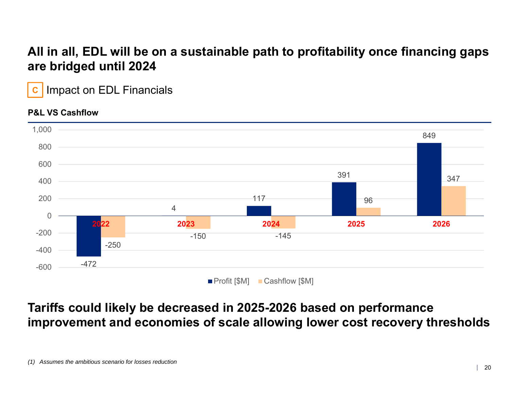### **All in all, EDL will be on a sustainable path to profitability once financing gaps are bridged until 2024**

**C**Impact on EDL Financials

### **P&L VS Cashflow**



## **Tariffs could likely be decreased in 2025-2026 based on performance improvement and economies of scale allowing lower cost recovery thresholds**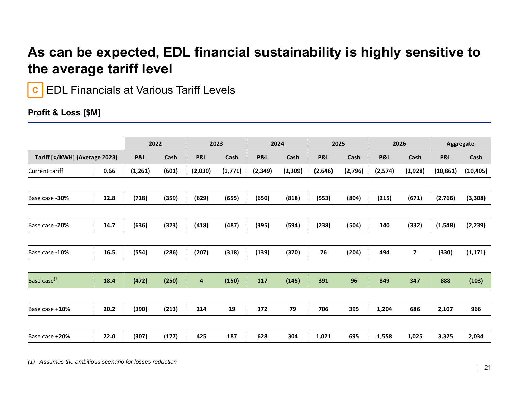## **As can be expected, EDL financial sustainability is highly sensitive to the average tariff level**

EDL Financials at Various Tariff Levels **C**

### **Profit & Loss [\$M]**

|                               |      | 2022     |       | 2023                    |         | 2024           |         | 2025    |         | 2026     |                         | Aggregate |           |
|-------------------------------|------|----------|-------|-------------------------|---------|----------------|---------|---------|---------|----------|-------------------------|-----------|-----------|
| Tariff [¢/KWH] (Average 2023) |      | P&L      | Cash  | <b>P&amp;L</b>          | Cash    | <b>P&amp;L</b> | Cash    | P&L     | Cash    | P&L      | Cash                    | P&L       | Cash      |
| Current tariff                | 0.66 | (1, 261) | (601) | (2,030)                 | (1,771) | (2, 349)       | (2,309) | (2,646) | (2,796) | (2, 574) | (2,928)                 | (10, 861) | (10, 405) |
|                               |      |          |       |                         |         |                |         |         |         |          |                         |           |           |
| Base case -30%                | 12.8 | (718)    | (359) | (629)                   | (655)   | (650)          | (818)   | (553)   | (804)   | (215)    | (671)                   | (2,766)   | (3, 308)  |
|                               |      |          |       |                         |         |                |         |         |         |          |                         |           |           |
| Base case -20%                | 14.7 | (636)    | (323) | (418)                   | (487)   | (395)          | (594)   | (238)   | (504)   | 140      | (332)                   | (1, 548)  | (2, 239)  |
|                               |      |          |       |                         |         |                |         |         |         |          |                         |           |           |
| Base case -10%                | 16.5 | (554)    | (286) | (207)                   | (318)   | (139)          | (370)   | 76      | (204)   | 494      | $\overline{\mathbf{z}}$ | (330)     | (1, 171)  |
|                               |      |          |       |                         |         |                |         |         |         |          |                         |           |           |
| Base case <sup>(1)</sup>      | 18.4 | (472)    | (250) | $\overline{\mathbf{4}}$ | (150)   | 117            | (145)   | 391     | 96      | 849      | 347                     | 888       | (103)     |
|                               |      |          |       |                         |         |                |         |         |         |          |                         |           |           |
| Base case +10%                | 20.2 | (390)    | (213) | 214                     | 19      | 372            | 79      | 706     | 395     | 1,204    | 686                     | 2,107     | 966       |
|                               |      |          |       |                         |         |                |         |         |         |          |                         |           |           |
| Base case +20%                | 22.0 | (307)    | (177) | 425                     | 187     | 628            | 304     | 1,021   | 695     | 1,558    | 1,025                   | 3,325     | 2,034     |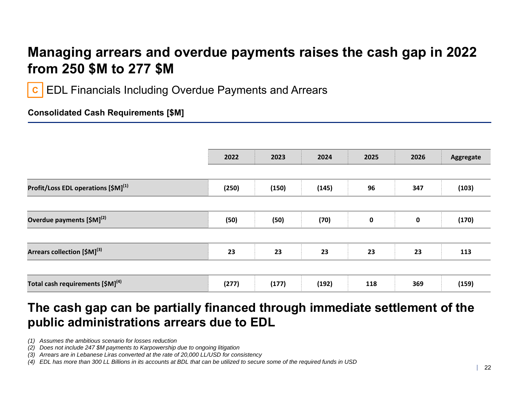## **Managing arrears and overdue payments raises the cash gap in 2022 from 250 \$M to 277 \$M**

EDL Financials Including Overdue Payments and Arrears **C**

### **Consolidated Cash Requirements [\$M]**

|                                                 | 2022  | 2023  | 2024  | 2025        | 2026        | Aggregate |
|-------------------------------------------------|-------|-------|-------|-------------|-------------|-----------|
| Profit/Loss EDL operations [\$M] <sup>(1)</sup> | (250) | (150) | (145) | 96          | 347         | (103)     |
| Overdue payments [\$M] <sup>(2)</sup>           | (50)  | (50)  | (70)  | $\mathbf 0$ | $\mathbf 0$ | (170)     |
| Arrears collection [\$M] <sup>(3)</sup>         | 23    | 23    | 23    | 23          | 23          | 113       |
| Total cash requirements [\$M] <sup>(4)</sup>    | (277) | (177) | (192) | 118         | 369         | (159)     |

### **The cash gap can be partially financed through immediate settlement of the public administrations arrears due to EDL**

*(1) Assumes the ambitious scenario for losses reduction*

- *(3) Arrears are in Lebanese Liras converted at the rate of 20,000 LL/USD for consistency*
- *(4) EDL has more than 300 LL Billions in its accounts at BDL that can be utilized to secure some of the required funds in USD*

*<sup>(2)</sup> Does not include 247 \$M payments to Karpowership due to ongoing litigation*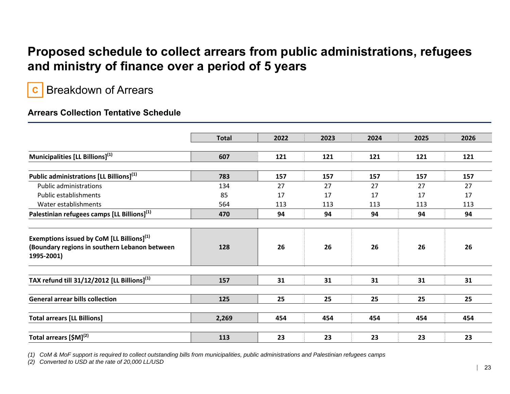### **Proposed schedule to collect arrears from public administrations, refugees and ministry of finance over a period of 5 years**

Breakdown of Arrears **C**

### **Arrears Collection Tentative Schedule**

|                                                                                                                      | <b>Total</b> | 2022 | 2023 | 2024 | 2025 | 2026 |  |
|----------------------------------------------------------------------------------------------------------------------|--------------|------|------|------|------|------|--|
| Municipalities [LL Billions] <sup>(1)</sup>                                                                          | 607          | 121  | 121  | 121  | 121  | 121  |  |
| Public administrations [LL Billions] <sup>(1)</sup>                                                                  | 783          | 157  | 157  | 157  | 157  | 157  |  |
| <b>Public administrations</b>                                                                                        | 134          | 27   | 27   | 27   | 27   | 27   |  |
| <b>Public establishments</b>                                                                                         | 85           | 17   | 17   | 17   | 17   | 17   |  |
| Water establishments                                                                                                 | 564          | 113  | 113  | 113  | 113  | 113  |  |
| Palestinian refugees camps [LL Billions] <sup>(1)</sup>                                                              | 470          | 94   | 94   | 94   | 94   | 94   |  |
| Exemptions issued by CoM $[LL\text{ Billions}]^{(1)}$<br>(Boundary regions in southern Lebanon between<br>1995-2001) | 128          | 26   | 26   | 26   | 26   | 26   |  |
| TAX refund till $31/12/2012$ [LL Billions] <sup>(1)</sup>                                                            | 157          | 31   | 31   | 31   | 31   | 31   |  |
| <b>General arrear bills collection</b>                                                                               | 125          | 25   | 25   | 25   | 25   | 25   |  |
| <b>Total arrears [LL Billions]</b>                                                                                   | 2,269        | 454  | 454  | 454  | 454  | 454  |  |
| Total arrears [\$M] <sup>(2)</sup>                                                                                   | 113          | 23   | 23   | 23   | 23   | 23   |  |

*(1) CoM & MoF support is required to collect outstanding bills from municipalities, public administrations and Palestinian refugees camps*

*(2) Converted to USD at the rate of 20,000 LL/USD*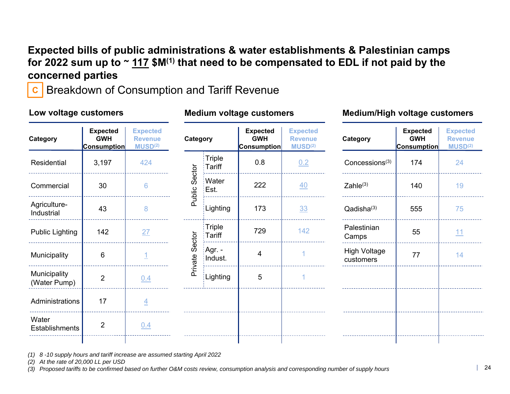### **Expected bills of public administrations & water establishments & Palestinian camps for 2022 sum up to ~ 117 \$M(1) that need to be compensated to EDL if not paid by the concerned parties**

**C**Breakdown of Consumption and Tariff Revenue

| Low voltage customers          |                                                                                                                 |                 |                   |                    | <b>Medium voltage customers</b>                     |                                                          | <b>Medium/High voltage customers</b> |                                                     |                                                          |  |
|--------------------------------|-----------------------------------------------------------------------------------------------------------------|-----------------|-------------------|--------------------|-----------------------------------------------------|----------------------------------------------------------|--------------------------------------|-----------------------------------------------------|----------------------------------------------------------|--|
| Category                       | <b>Expected</b><br><b>Expected</b><br><b>GWH</b><br><b>Revenue</b><br>MUSD <sup>(2)</sup><br><b>Consumption</b> |                 | Category          |                    | <b>Expected</b><br><b>GWH</b><br><b>Consumption</b> | <b>Expected</b><br><b>Revenue</b><br>MUSD <sup>(2)</sup> | Category                             | <b>Expected</b><br><b>GWH</b><br><b>Consumption</b> | <b>Expected</b><br><b>Revenue</b><br>MUSD <sup>(2)</sup> |  |
| Residential                    | 3,197                                                                                                           | 424             |                   | Triple<br>Tariff   | 0.8                                                 | 0.2                                                      | Concessions <sup>(3)</sup>           | 174                                                 | 24                                                       |  |
| Commercial                     | 30                                                                                                              | $6\phantom{1}6$ | Sector            | Water<br>Est.      | 222                                                 | 40                                                       | $Zahle^{(3)}$                        | 140                                                 | 19                                                       |  |
| Agriculture-<br>Industrial     | 43                                                                                                              | 8               | Public            | Lighting           | 173                                                 | 33                                                       | Qadisha(3)                           | 555                                                 | 75                                                       |  |
| Public Lighting                | 142                                                                                                             | 27              |                   | Triple<br>Tariff   | 729                                                 | 142                                                      | Palestinian<br>Camps                 | 55                                                  | 11                                                       |  |
| Municipality                   | 6                                                                                                               | 1               | Sector<br>Private | ∣Agr. -<br>Indust. | 4                                                   |                                                          | <b>High Voltage</b><br>customers     | 77                                                  | 14                                                       |  |
| Municipality<br>(Water Pump)   | $\overline{2}$                                                                                                  | 0.4             |                   | Lighting           | 5                                                   |                                                          |                                      |                                                     |                                                          |  |
| Administrations                | 17                                                                                                              | $\overline{4}$  |                   |                    |                                                     |                                                          |                                      |                                                     |                                                          |  |
| Water<br><b>Establishments</b> | $\overline{2}$                                                                                                  | 0.4             |                   |                    |                                                     |                                                          |                                      |                                                     |                                                          |  |
|                                |                                                                                                                 |                 |                   |                    |                                                     |                                                          |                                      |                                                     |                                                          |  |

*(1) 8 -10 supply hours and tariff increase are assumed starting April 2022*

*(2) At the rate of 20,000 LL per USD*

*(3) Proposed tariffs to be confirmed based on further O&M costs review, consumption analysis and corresponding number of supply hours*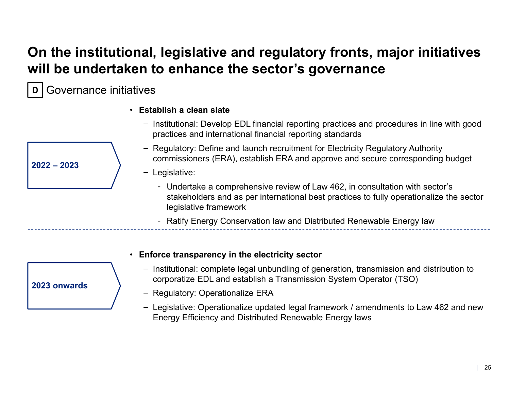## **On the institutional, legislative and regulatory fronts, major initiatives will be undertaken to enhance the sector's governance**

Governance initiatives **D**

- **Establish a clean slate**
	- ‒ Institutional: Develop EDL financial reporting practices and procedures in line with good practices and international financial reporting standards
	- ‒ Regulatory: Define and launch recruitment for Electricity Regulatory Authority commissioners (ERA), establish ERA and approve and secure corresponding budget
	- ‒ Legislative:
		- Undertake a comprehensive review of Law 462, in consultation with sector's stakeholders and as per international best practices to fully operationalize the sector legislative framework
		- Ratify Energy Conservation law and Distributed Renewable Energy law

- **2023 onwards**
- **Enforce transparency in the electricity sector**
	- ‒ Institutional: complete legal unbundling of generation, transmission and distribution to corporatize EDL and establish a Transmission System Operator (TSO)
	- ‒ Regulatory: Operationalize ERA
	- ‒ Legislative: Operationalize updated legal framework / amendments to Law 462 and new Energy Efficiency and Distributed Renewable Energy laws

**2022 – 2023**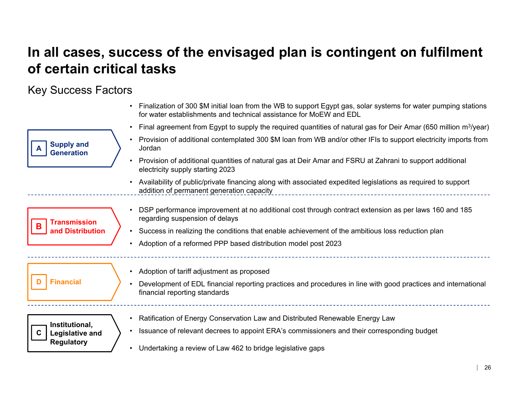## **In all cases, success of the envisaged plan is contingent on fulfilment of certain critical tasks**

### Key Success Factors

|                                               |           | • Finalization of 300 \$M initial loan from the WB to support Egypt gas, solar systems for water pumping stations<br>for water establishments and technical assistance for MoEW and EDL |
|-----------------------------------------------|-----------|-----------------------------------------------------------------------------------------------------------------------------------------------------------------------------------------|
|                                               |           | Final agreement from Egypt to supply the required quantities of natural gas for Deir Amar (650 million $m^3$ /year)                                                                     |
| <b>Supply and</b><br><b>Generation</b>        |           | Provision of additional contemplated 300 \$M loan from WB and/or other IFIs to support electricity imports from<br>Jordan                                                               |
|                                               |           | Provision of additional quantities of natural gas at Deir Amar and FSRU at Zahrani to support additional<br>electricity supply starting 2023                                            |
|                                               |           | Availability of public/private financing along with associated expedited legislations as required to support<br>addition of permanent generation capacity                               |
| <b>Transmission</b>                           |           | DSP performance improvement at no additional cost through contract extension as per laws 160 and 185<br>regarding suspension of delays                                                  |
| and Distribution                              |           | Success in realizing the conditions that enable achievement of the ambitious loss reduction plan                                                                                        |
|                                               | $\bullet$ | Adoption of a reformed PPP based distribution model post 2023                                                                                                                           |
|                                               |           | • Adoption of tariff adjustment as proposed                                                                                                                                             |
| <b>Financial</b>                              |           | Development of EDL financial reporting practices and procedures in line with good practices and international<br>financial reporting standards                                          |
|                                               |           | Ratification of Energy Conservation Law and Distributed Renewable Energy Law                                                                                                            |
| Institutional,<br>C<br><b>Legislative and</b> |           | Issuance of relevant decrees to appoint ERA's commissioners and their corresponding budget                                                                                              |
| <b>Regulatory</b>                             |           | Undertaking a review of Law 462 to bridge legislative gaps                                                                                                                              |